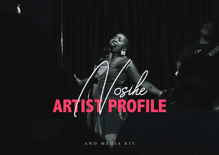### Osthe **TARY** F R AR

 $\sqrt{2}$ 

AND MEDIA KIT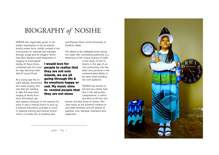## BIOGRAPHY *of* NOSIHE

I would love for

people to realise that they are not solo islands, we are all going through life & its emotions happy or sad. My music aims to remind people that they are not alone

NOSIHE has organically grown in her artistic expressions to be an eclectic soulful power force, solidly centred in her environment to interpret and translate through songs and its imagery. Some may liken Nosihe's bold disposition in

imaging to avant-garde styling of Grace Jones combined with the modern day haunting melodies of Laura Mvula.

At a young age the vocalist already discovered she loved singing. She was that girl wanting to take the lead when singing at family functions and always got

that radiancy because of her passion for song. It was a natural choice to pick up a musical instrument, and later to enrol in classical training and several school choirs. Currently she is studying Jazz

and Popular Music at the University of KwaZulu Natal.

Her ability to be malleable when plying her trade with contrasting audiences is a testimony to her unique bravery to walk

> in the shoes of her listeners. In the age of social connectivity, she has been very personal in her communicative ability to be open when building her core audience.

NOSIHE has stories to tell and you clearly hear this in her self-written compositions, in which she aims to tell her own

stories, but also those of others. She uses music as the powerful medium to articulate emotions and tell stories of sadness, love, betrayal, heartache and happiness.

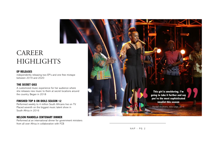# CAREER **HIGHLIGHTS**

#### **EP RELEASES**

independently releasing two EP's and one free mixtape between 2019 and 2020

#### **THE SECRET GIGS**

A customized music experience for her audience where she releases new music to them at secret locations around the country. Began in 2018

#### **FINISHED TOP 8 ON IDOLS SEASON 12**

Performed weekly to 4 million South Africans live on TV. Placed seventh on the biggest music talent show in South Africa in 2016

#### **NELSON MANDELA CENTENARY DINNER**

Performed at an international dinner for government ministers from all over Africa in collaboration with FCB

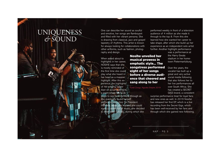# UNIQUENESS *&* SOUND

One can describe her sound as soulful and emotive, her songs are flamboyant and filled with her vibrant persona. She is drawing from classical, jazz and gospel tapestry of rhythms. This artist is known for always looking for collaborations with other artforms, such as fashion, photography and design.

> Nosihe unveiled her musical prowess in emphatic style... The songstress performed eight of her songs before a diverse audience that cheered and

sang along to her

Fundi Zungu, Ngcobo Empire 2019

When asked about to highlights in her career, NOSIHE says that she is mostly reminded of the first time she could play what she heard in her head as a massive highlight. After this experience, the highlights of her singing career kept on accumulating to a point where she took steps to see her intentions through as

she eventually found herself performing in a choir for President Mandela. When she realised she could make a career out of music, she decided to enter Idols (2016), during which she

performed weekly in front of a television audience of 4 million as she made it through to the top 8. From this she learned how she wanted her career to take shape, after which she build up her experience as an independent solo artist further. Another highlight performance

> was a performance at the Harry Gwala stadium in her hometown Pietermaritzburg.

Over the years, the vocalist has built up a great and very active social media following that also follows her to her live performances all over South Africa. She has created a SECRET GIGS brand, a consistent

surprise performance treat for loyal fans and new ones as well. In 2019 Nosihe has released her first EP, which is a live recording from the Secret Gigs, which has been well-received by her fans and through which she gained new following.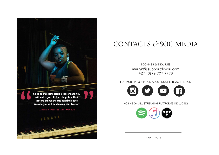

# CONTACTS *&* SOC MEDIA

bookings & ENQUIRIES marlyn@isupportdoyou.com +27 (0)79 707 7773

FOR MORE INFORMATION ABOUT NOSIHE, REACH HER ON



NOSIHE ON ALL STREAMING PLATFORMS INCLUDING